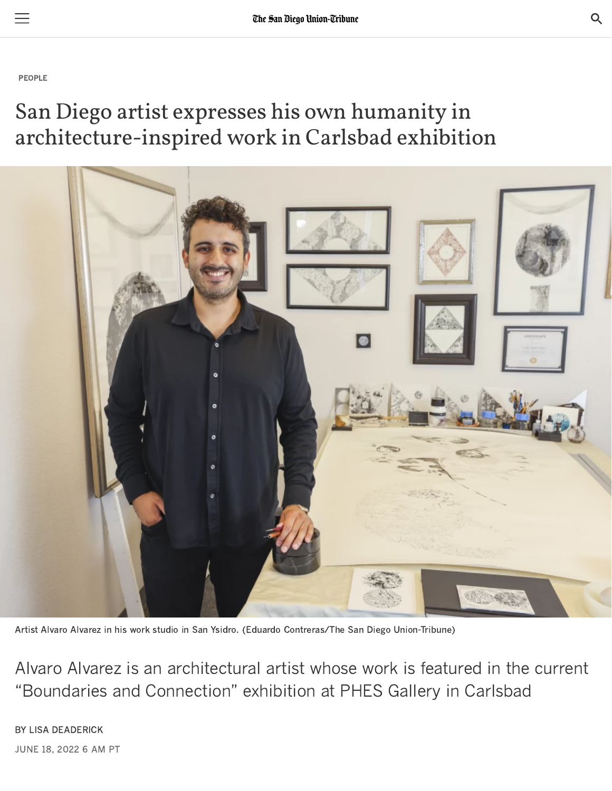[PEOPLE](https://www.sandiegouniontribune.com/lifestyle/people)

 $=$ 

## San Diego artist expresses his own humanity in architecture-inspired work in Carlsbad exhibition



Artist Alvaro Alvarez in his work studio in San Ysidro. (Eduardo Contreras/The San Diego Union-Tribune)

Alvaro Alvarez is an architectural artist whose work is featured in the current "Boundaries and Connection" exhibition at PHES Gallery in Carlsbad

BY LISA [DEADERICK](https://www.sandiegouniontribune.com/sdut-lisa-deaderick-staff.html) JUNE 18, 2022 6 AM PT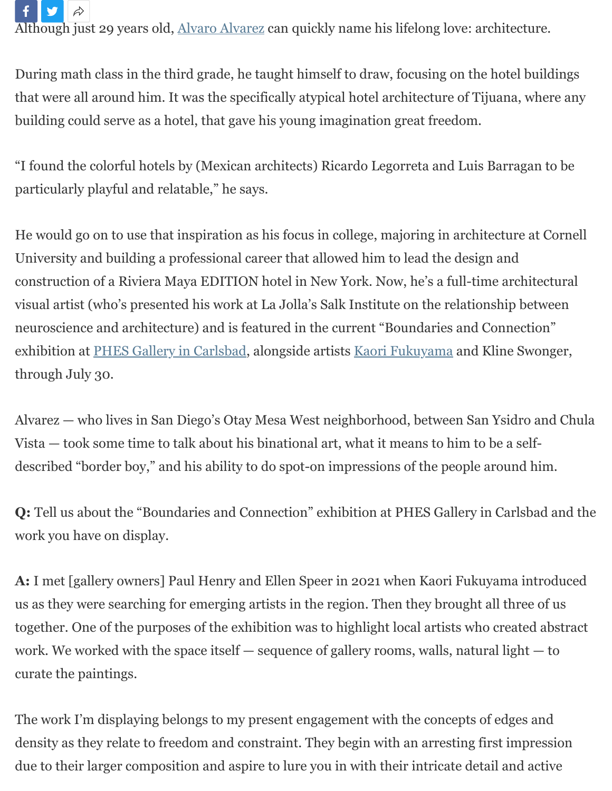

Although just 29 years old, [Alvaro Alvarez](http://www.alvaroaalvarez.com/) can quickly name his lifelong love: architecture.

During math class in the third grade, he taught himself to draw, focusing on the hotel buildings that were all around him. It was the specifically atypical hotel architecture of Tijuana, where any building could serve as a hotel, that gave his young imagination great freedom.

"I found the colorful hotels by (Mexican architects) Ricardo Legorreta and Luis Barragan to be particularly playful and relatable," he says.

He would go on to use that inspiration as his focus in college, majoring in architecture at Cornell University and building a professional career that allowed him to lead the design and construction of a Riviera Maya EDITION hotel in New York. Now, he's a full-time architectural visual artist (who's presented his work at La Jolla's Salk Institute on the relationship between neuroscience and architecture) and is featured in the current "Boundaries and Connection" exhibition at [PHES Gallery in Carlsbad,](https://phesgallery.com/) alongside artists [Kaori Fukuyama](https://www.sandiegouniontribune.com/lifestyle/people/sd-me-one-fukuyama-20170927-story.html) and Kline Swonger, through July 30.

Alvarez — who lives in San Diego's Otay Mesa West neighborhood, between San Ysidro and Chula Vista — took some time to talk about his binational art, what it means to him to be a selfdescribed "border boy," and his ability to do spot-on impressions of the people around him.

**Q:** Tell us about the "Boundaries and Connection" exhibition at PHES Gallery in Carlsbad and the work you have on display.

**A:** I met [gallery owners] Paul Henry and Ellen Speer in 2021 when Kaori Fukuyama introduced us as they were searching for emerging artists in the region. Then they brought all three of us together. One of the purposes of the exhibition was to highlight local artists who created abstract work. We worked with the space itself — sequence of gallery rooms, walls, natural light — to curate the paintings.

The work I'm displaying belongs to my present engagement with the concepts of edges and density as they relate to freedom and constraint. They begin with an arresting first impression due to their larger composition and aspire to lure you in with their intricate detail and active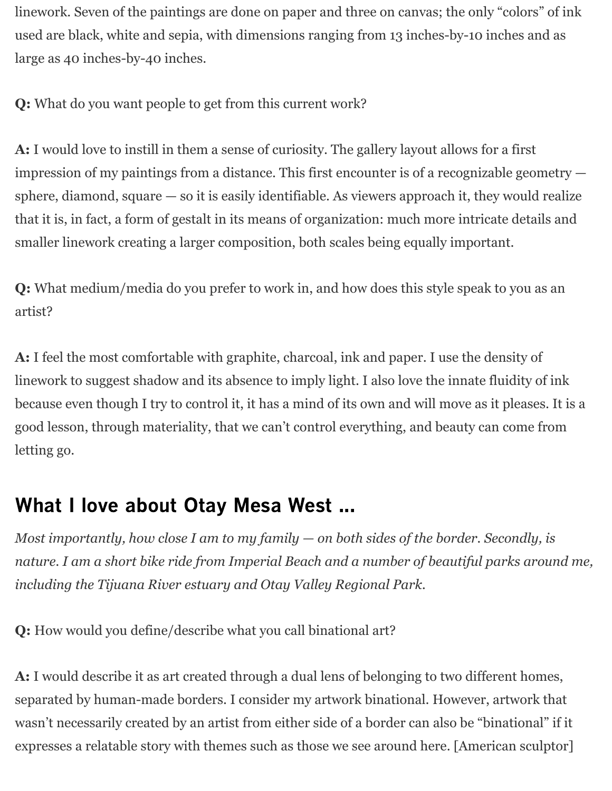linework. Seven of the paintings are done on paper and three on canvas; the only "colors" of ink used are black, white and sepia, with dimensions ranging from 13 inches-by-10 inches and as large as 40 inches-by-40 inches.

**Q:** What do you want people to get from this current work?

**A:** I would love to instill in them a sense of curiosity. The gallery layout allows for a first impression of my paintings from a distance. This first encounter is of a recognizable geometry sphere, diamond, square — so it is easily identifiable. As viewers approach it, they would realize that it is, in fact, a form of gestalt in its means of organization: much more intricate details and smaller linework creating a larger composition, both scales being equally important.

**Q:** What medium/media do you prefer to work in, and how does this style speak to you as an artist?

**A:** I feel the most comfortable with graphite, charcoal, ink and paper. I use the density of linework to suggest shadow and its absence to imply light. I also love the innate fluidity of ink because even though I try to control it, it has a mind of its own and will move as it pleases. It is a good lesson, through materiality, that we can't control everything, and beauty can come from letting go.

## What I love about Otay Mesa West ...

*Most importantly, how close I am to my family — on both sides of the border. Secondly, is nature. I am a short bike ride from Imperial Beach and a number of beautiful parks around me, including the Tijuana River estuary and Otay Valley Regional Park.*

**Q:** How would you define/describe what you call binational art?

**A:** I would describe it as art created through a dual lens of belonging to two different homes, separated by human-made borders. I consider my artwork binational. However, artwork that wasn't necessarily created by an artist from either side of a border can also be "binational" if it expresses a relatable story with themes such as those we see around here. [American sculptor]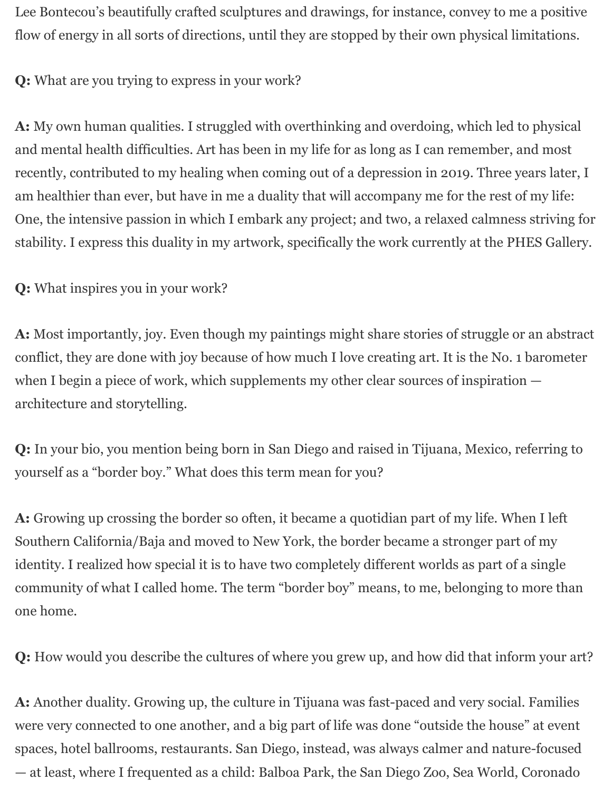Lee Bontecou's beautifully crafted sculptures and drawings, for instance, convey to me a positive flow of energy in all sorts of directions, until they are stopped by their own physical limitations.

**Q:** What are you trying to express in your work?

**A:** My own human qualities. I struggled with overthinking and overdoing, which led to physical and mental health difficulties. Art has been in my life for as long as I can remember, and most recently, contributed to my healing when coming out of a depression in 2019. Three years later, I am healthier than ever, but have in me a duality that will accompany me for the rest of my life: One, the intensive passion in which I embark any project; and two, a relaxed calmness striving for stability. I express this duality in my artwork, specifically the work currently at the PHES Gallery.

**Q:** What inspires you in your work?

**A:** Most importantly, joy. Even though my paintings might share stories of struggle or an abstract conflict, they are done with joy because of how much I love creating art. It is the No. 1 barometer when I begin a piece of work, which supplements my other clear sources of inspiration architecture and storytelling.

**Q:** In your bio, you mention being born in San Diego and raised in Tijuana, Mexico, referring to yourself as a "border boy." What does this term mean for you?

**A:** Growing up crossing the border so often, it became a quotidian part of my life. When I left Southern California/Baja and moved to New York, the border became a stronger part of my identity. I realized how special it is to have two completely different worlds as part of a single community of what I called home. The term "border boy" means, to me, belonging to more than one home.

**Q:** How would you describe the cultures of where you grew up, and how did that inform your art?

**A:** Another duality. Growing up, the culture in Tijuana was fast-paced and very social. Families were very connected to one another, and a big part of life was done "outside the house" at event spaces, hotel ballrooms, restaurants. San Diego, instead, was always calmer and nature-focused — at least, where I frequented as a child: Balboa Park, the San Diego Zoo, Sea World, Coronado